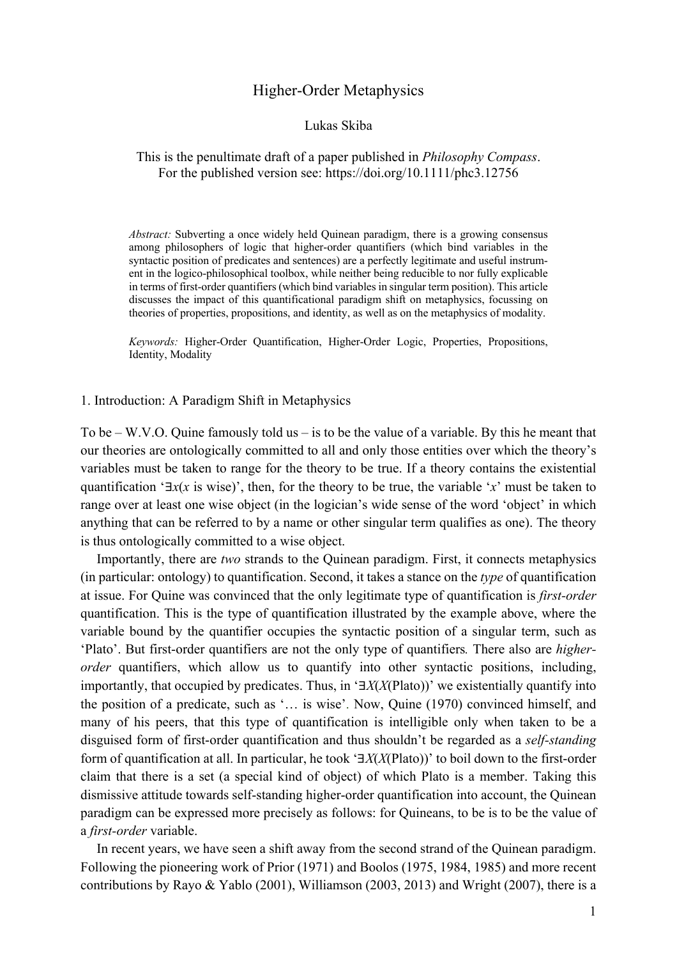# Higher-Order Metaphysics

#### Lukas Skiba

### This is the penultimate draft of a paper published in *Philosophy Compass*. For the published version see: https://doi.org/10.1111/phc3.12756

*Abstract:* Subverting a once widely held Quinean paradigm, there is a growing consensus among philosophers of logic that higher-order quantifiers (which bind variables in the syntactic position of predicates and sentences) are a perfectly legitimate and useful instrument in the logico-philosophical toolbox, while neither being reducible to nor fully explicable in terms of first-order quantifiers (which bind variables in singular term position). This article discusses the impact of this quantificational paradigm shift on metaphysics, focussing on theories of properties, propositions, and identity, as well as on the metaphysics of modality.

*Keywords:* Higher-Order Quantification, Higher-Order Logic, Properties, Propositions, Identity, Modality

1. Introduction: A Paradigm Shift in Metaphysics

To be – W.V.O. Quine famously told us – is to be the value of a variable. By this he meant that our theories are ontologically committed to all and only those entities over which the theory's variables must be taken to range for the theory to be true. If a theory contains the existential quantification '∃*x*(*x* is wise)', then, for the theory to be true, the variable '*x*' must be taken to range over at least one wise object (in the logician's wide sense of the word 'object' in which anything that can be referred to by a name or other singular term qualifies as one). The theory is thus ontologically committed to a wise object.

Importantly, there are *two* strands to the Quinean paradigm. First, it connects metaphysics (in particular: ontology) to quantification. Second, it takes a stance on the *type* of quantification at issue. For Quine was convinced that the only legitimate type of quantification is *first-order* quantification. This is the type of quantification illustrated by the example above, where the variable bound by the quantifier occupies the syntactic position of a singular term, such as 'Plato'. But first-order quantifiers are not the only type of quantifiers*.* There also are *higherorder* quantifiers, which allow us to quantify into other syntactic positions, including, importantly, that occupied by predicates. Thus, in '∃*X*(*X*(Plato))' we existentially quantify into the position of a predicate, such as '… is wise'. Now, Quine (1970) convinced himself, and many of his peers, that this type of quantification is intelligible only when taken to be a disguised form of first-order quantification and thus shouldn't be regarded as a *self-standing* form of quantification at all. In particular, he took '∃*X*(*X*(Plato))' to boil down to the first-order claim that there is a set (a special kind of object) of which Plato is a member. Taking this dismissive attitude towards self-standing higher-order quantification into account, the Quinean paradigm can be expressed more precisely as follows: for Quineans, to be is to be the value of a *first-order* variable.

In recent years, we have seen a shift away from the second strand of the Quinean paradigm. Following the pioneering work of Prior (1971) and Boolos (1975, 1984, 1985) and more recent contributions by Rayo & Yablo (2001), Williamson (2003, 2013) and Wright (2007), there is a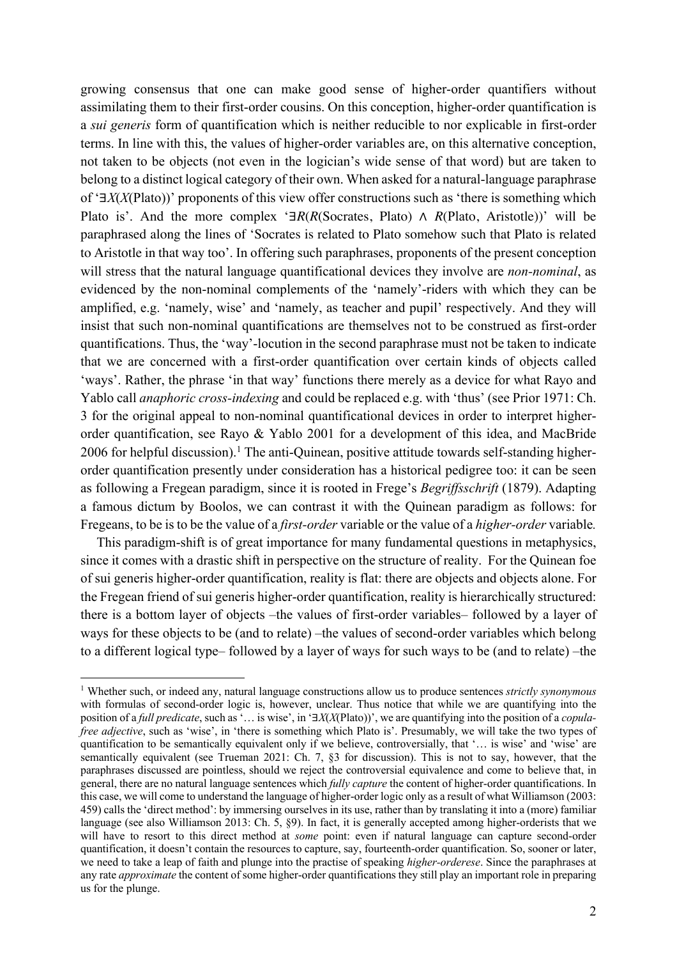growing consensus that one can make good sense of higher-order quantifiers without assimilating them to their first-order cousins. On this conception, higher-order quantification is a *sui generis* form of quantification which is neither reducible to nor explicable in first-order terms. In line with this, the values of higher-order variables are, on this alternative conception, not taken to be objects (not even in the logician's wide sense of that word) but are taken to belong to a distinct logical category of their own. When asked for a natural-language paraphrase of '∃*X*(*X*(Plato))' proponents of this view offer constructions such as 'there is something which Plato is'. And the more complex '∃*R*(*R*(Socrates, Plato) ∧ *R*(Plato, Aristotle))' will be paraphrased along the lines of 'Socrates is related to Plato somehow such that Plato is related to Aristotle in that way too'. In offering such paraphrases, proponents of the present conception will stress that the natural language quantificational devices they involve are *non-nominal*, as evidenced by the non-nominal complements of the 'namely'-riders with which they can be amplified, e.g. 'namely, wise' and 'namely, as teacher and pupil' respectively. And they will insist that such non-nominal quantifications are themselves not to be construed as first-order quantifications. Thus, the 'way'-locution in the second paraphrase must not be taken to indicate that we are concerned with a first-order quantification over certain kinds of objects called 'ways'. Rather, the phrase 'in that way' functions there merely as a device for what Rayo and Yablo call *anaphoric cross-indexing* and could be replaced e.g. with 'thus' (see Prior 1971: Ch. 3 for the original appeal to non-nominal quantificational devices in order to interpret higherorder quantification, see Rayo & Yablo 2001 for a development of this idea, and MacBride  $2006$  for helpful discussion).<sup>1</sup> The anti-Quinean, positive attitude towards self-standing higherorder quantification presently under consideration has a historical pedigree too: it can be seen as following a Fregean paradigm, since it is rooted in Frege's *Begriffsschrift* (1879). Adapting a famous dictum by Boolos, we can contrast it with the Quinean paradigm as follows: for Fregeans, to be is to be the value of a *first-order* variable or the value of a *higher-order* variable*.*

This paradigm-shift is of great importance for many fundamental questions in metaphysics, since it comes with a drastic shift in perspective on the structure of reality. For the Quinean foe of sui generis higher-order quantification, reality is flat: there are objects and objects alone. For the Fregean friend of sui generis higher-order quantification, reality is hierarchically structured: there is a bottom layer of objects –the values of first-order variables– followed by a layer of ways for these objects to be (and to relate) –the values of second-order variables which belong to a different logical type– followed by a layer of ways for such ways to be (and to relate) –the

<sup>1</sup> Whether such, or indeed any, natural language constructions allow us to produce sentences *strictly synonymous* with formulas of second-order logic is, however, unclear. Thus notice that while we are quantifying into the position of a *full predicate*, such as '… is wise', in '∃*X*(*X*(Plato))', we are quantifying into the position of a *copulafree adjective*, such as 'wise', in 'there is something which Plato is'. Presumably, we will take the two types of quantification to be semantically equivalent only if we believe, controversially, that '… is wise' and 'wise' are semantically equivalent (see Trueman 2021: Ch. 7,  $\S$ 3 for discussion). This is not to say, however, that the paraphrases discussed are pointless, should we reject the controversial equivalence and come to believe that, in general, there are no natural language sentences which *fully capture* the content of higher-order quantifications. In this case, we will come to understand the language of higher-order logic only as a result of what Williamson (2003: 459) calls the 'direct method': by immersing ourselves in its use, rather than by translating it into a (more) familiar language (see also Williamson 2013: Ch. 5, §9). In fact, it is generally accepted among higher-orderists that we will have to resort to this direct method at *some* point: even if natural language can capture second-order quantification, it doesn't contain the resources to capture, say, fourteenth-order quantification. So, sooner or later, we need to take a leap of faith and plunge into the practise of speaking *higher-orderese*. Since the paraphrases at any rate *approximate* the content of some higher-order quantifications they still play an important role in preparing us for the plunge.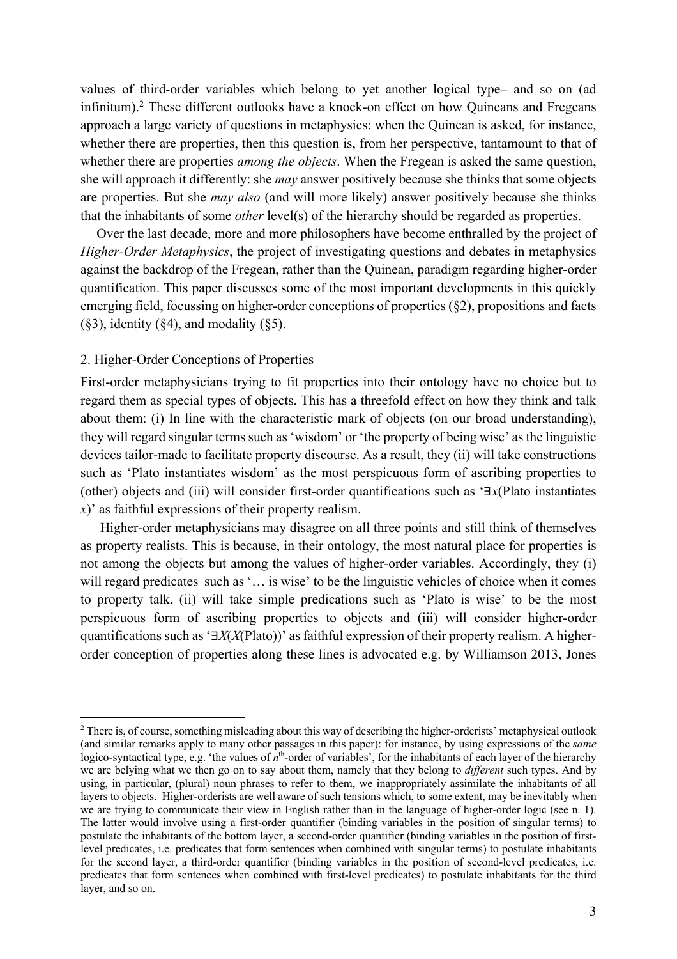values of third-order variables which belong to yet another logical type– and so on (ad infinitum).<sup>2</sup> These different outlooks have a knock-on effect on how Quineans and Fregeans approach a large variety of questions in metaphysics: when the Quinean is asked, for instance, whether there are properties, then this question is, from her perspective, tantamount to that of whether there are properties *among the objects*. When the Fregean is asked the same question, she will approach it differently: she *may* answer positively because she thinks that some objects are properties. But she *may also* (and will more likely) answer positively because she thinks that the inhabitants of some *other* level(s) of the hierarchy should be regarded as properties.

Over the last decade, more and more philosophers have become enthralled by the project of *Higher-Order Metaphysics*, the project of investigating questions and debates in metaphysics against the backdrop of the Fregean, rather than the Quinean, paradigm regarding higher-order quantification. This paper discusses some of the most important developments in this quickly emerging field, focussing on higher-order conceptions of properties (§2), propositions and facts  $(\S 3)$ , identity  $(\S 4)$ , and modality  $(\S 5)$ .

### 2. Higher-Order Conceptions of Properties

First-order metaphysicians trying to fit properties into their ontology have no choice but to regard them as special types of objects. This has a threefold effect on how they think and talk about them: (i) In line with the characteristic mark of objects (on our broad understanding), they will regard singular terms such as 'wisdom' or 'the property of being wise' as the linguistic devices tailor-made to facilitate property discourse. As a result, they (ii) will take constructions such as 'Plato instantiates wisdom' as the most perspicuous form of ascribing properties to (other) objects and (iii) will consider first-order quantifications such as '∃*x*(Plato instantiates *x*)' as faithful expressions of their property realism.

Higher-order metaphysicians may disagree on all three points and still think of themselves as property realists. This is because, in their ontology, the most natural place for properties is not among the objects but among the values of higher-order variables. Accordingly, they (i) will regard predicates such as '... is wise' to be the linguistic vehicles of choice when it comes to property talk, (ii) will take simple predications such as 'Plato is wise' to be the most perspicuous form of ascribing properties to objects and (iii) will consider higher-order quantifications such as '∃*X*(*X*(Plato))' as faithful expression of their property realism. A higherorder conception of properties along these lines is advocated e.g. by Williamson 2013, Jones

<sup>&</sup>lt;sup>2</sup> There is, of course, something misleading about this way of describing the higher-orderists' metaphysical outlook (and similar remarks apply to many other passages in this paper): for instance, by using expressions of the *same* logico-syntactical type, e.g. 'the values of *n*<sup>th</sup>-order of variables', for the inhabitants of each layer of the hierarchy we are belying what we then go on to say about them, namely that they belong to *different* such types. And by using, in particular, (plural) noun phrases to refer to them, we inappropriately assimilate the inhabitants of all layers to objects. Higher-orderists are well aware of such tensions which, to some extent, may be inevitably when we are trying to communicate their view in English rather than in the language of higher-order logic (see n. 1). The latter would involve using a first-order quantifier (binding variables in the position of singular terms) to postulate the inhabitants of the bottom layer, a second-order quantifier (binding variables in the position of firstlevel predicates, i.e. predicates that form sentences when combined with singular terms) to postulate inhabitants for the second layer, a third-order quantifier (binding variables in the position of second-level predicates, i.e. predicates that form sentences when combined with first-level predicates) to postulate inhabitants for the third layer, and so on.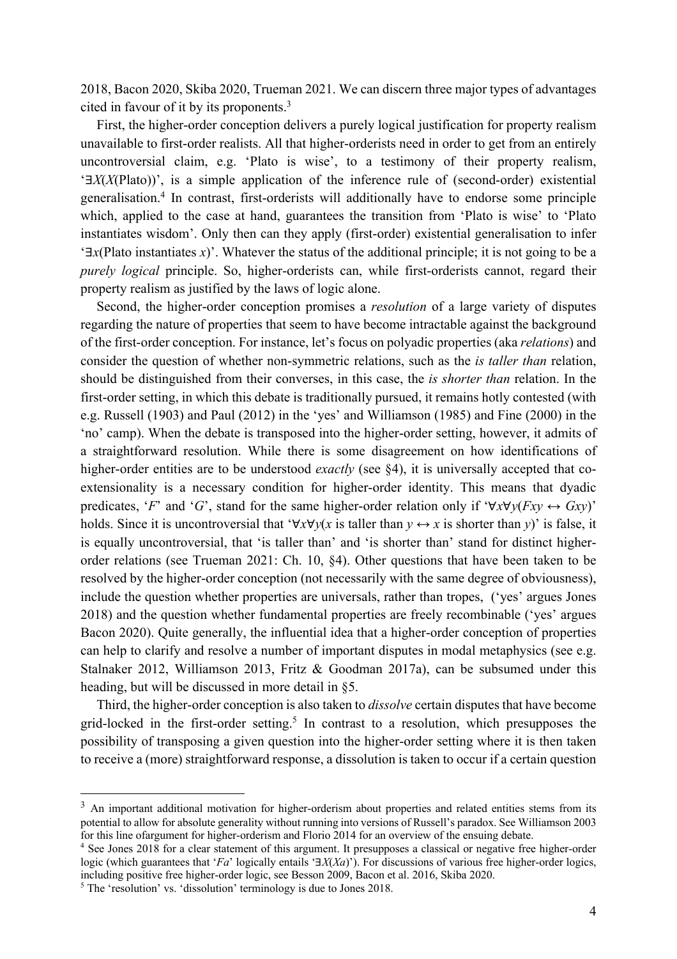2018, Bacon 2020, Skiba 2020, Trueman 2021. We can discern three major types of advantages cited in favour of it by its proponents.3

First, the higher-order conception delivers a purely logical justification for property realism unavailable to first-order realists. All that higher-orderists need in order to get from an entirely uncontroversial claim, e.g. 'Plato is wise', to a testimony of their property realism, '∃*X*(*X*(Plato))', is a simple application of the inference rule of (second-order) existential generalisation.4 In contrast, first-orderists will additionally have to endorse some principle which, applied to the case at hand, guarantees the transition from 'Plato is wise' to 'Plato instantiates wisdom'. Only then can they apply (first-order) existential generalisation to infer '∃*x*(Plato instantiates *x*)'. Whatever the status of the additional principle; it is not going to be a *purely logical* principle. So, higher-orderists can, while first-orderists cannot, regard their property realism as justified by the laws of logic alone.

Second, the higher-order conception promises a *resolution* of a large variety of disputes regarding the nature of properties that seem to have become intractable against the background of the first-order conception. For instance, let's focus on polyadic properties (aka *relations*) and consider the question of whether non-symmetric relations, such as the *is taller than* relation, should be distinguished from their converses, in this case, the *is shorter than* relation. In the first-order setting, in which this debate is traditionally pursued, it remains hotly contested (with e.g. Russell (1903) and Paul (2012) in the 'yes' and Williamson (1985) and Fine (2000) in the 'no' camp). When the debate is transposed into the higher-order setting, however, it admits of a straightforward resolution. While there is some disagreement on how identifications of higher-order entities are to be understood *exactly* (see §4), it is universally accepted that coextensionality is a necessary condition for higher-order identity. This means that dyadic predicates, '*F*' and '*G*', stand for the same higher-order relation only if ' $\forall x \forall y (Fx \rightarrow Gxy)$ ' holds. Since it is uncontroversial that ' $\forall x \forall y (x \text{ is taller than } y \leftrightarrow x \text{ is shorter than } y)$ ' is false, it is equally uncontroversial, that 'is taller than' and 'is shorter than' stand for distinct higherorder relations (see Trueman 2021: Ch. 10, §4). Other questions that have been taken to be resolved by the higher-order conception (not necessarily with the same degree of obviousness), include the question whether properties are universals, rather than tropes, ('yes' argues Jones 2018) and the question whether fundamental properties are freely recombinable ('yes' argues Bacon 2020). Quite generally, the influential idea that a higher-order conception of properties can help to clarify and resolve a number of important disputes in modal metaphysics (see e.g. Stalnaker 2012, Williamson 2013, Fritz & Goodman 2017a), can be subsumed under this heading, but will be discussed in more detail in §5.

Third, the higher-order conception is also taken to *dissolve* certain disputes that have become grid-locked in the first-order setting. <sup>5</sup> In contrast to a resolution, which presupposes the possibility of transposing a given question into the higher-order setting where it is then taken to receive a (more) straightforward response, a dissolution is taken to occur if a certain question

<sup>&</sup>lt;sup>3</sup> An important additional motivation for higher-orderism about properties and related entities stems from its potential to allow for absolute generality without running into versions of Russell's paradox. See Williamson 2003 for this line ofargument for higher-orderism and Florio 2014 for an overview of the ensuing debate.

<sup>4</sup> See Jones 2018 for a clear statement of this argument. It presupposes a classical or negative free higher-order logic (which guarantees that '*Fa*' logically entails '∃*X*(*Xa*)'). For discussions of various free higher-order logics, including positive free higher-order logic, see Besson 2009, Bacon et al. 2016, Skiba 2020. 5 The 'resolution' vs. 'dissolution' terminology is due to Jones 2018.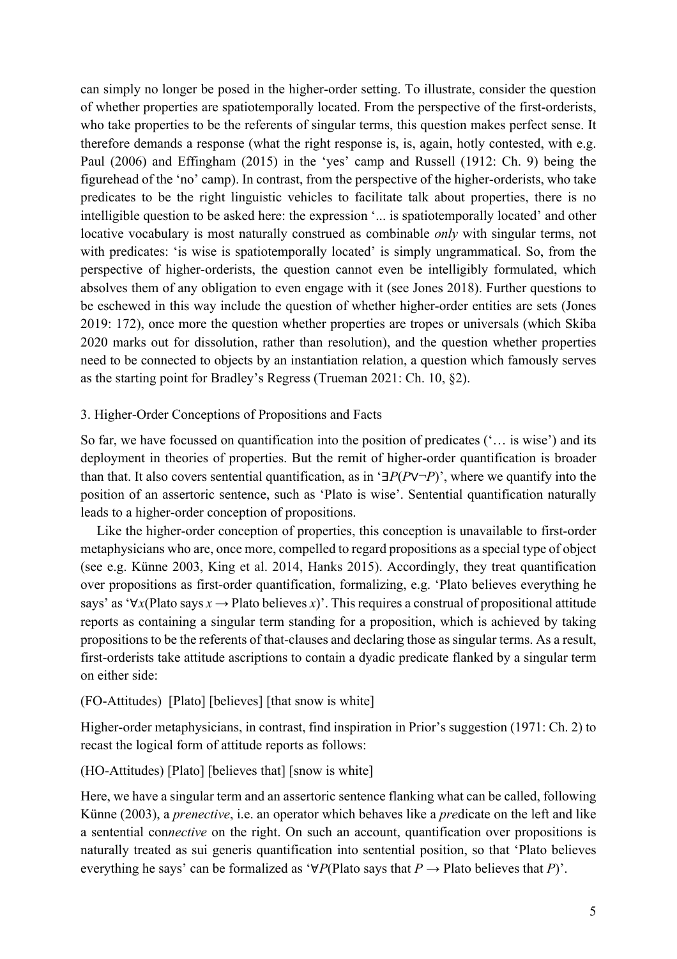can simply no longer be posed in the higher-order setting. To illustrate, consider the question of whether properties are spatiotemporally located. From the perspective of the first-orderists, who take properties to be the referents of singular terms, this question makes perfect sense. It therefore demands a response (what the right response is, is, again, hotly contested, with e.g. Paul (2006) and Effingham (2015) in the 'yes' camp and Russell (1912: Ch. 9) being the figurehead of the 'no' camp). In contrast, from the perspective of the higher-orderists, who take predicates to be the right linguistic vehicles to facilitate talk about properties, there is no intelligible question to be asked here: the expression '... is spatiotemporally located' and other locative vocabulary is most naturally construed as combinable *only* with singular terms, not with predicates: 'is wise is spatiotemporally located' is simply ungrammatical. So, from the perspective of higher-orderists, the question cannot even be intelligibly formulated, which absolves them of any obligation to even engage with it (see Jones 2018). Further questions to be eschewed in this way include the question of whether higher-order entities are sets (Jones 2019: 172), once more the question whether properties are tropes or universals (which Skiba 2020 marks out for dissolution, rather than resolution), and the question whether properties need to be connected to objects by an instantiation relation, a question which famously serves as the starting point for Bradley's Regress (Trueman 2021: Ch. 10, §2).

## 3. Higher-Order Conceptions of Propositions and Facts

So far, we have focussed on quantification into the position of predicates ('… is wise') and its deployment in theories of properties. But the remit of higher-order quantification is broader than that. It also covers sentential quantification, as in '∃*P*(*P*∨¬*P*)', where we quantify into the position of an assertoric sentence, such as 'Plato is wise'. Sentential quantification naturally leads to a higher-order conception of propositions.

Like the higher-order conception of properties, this conception is unavailable to first-order metaphysicians who are, once more, compelled to regard propositions as a special type of object (see e.g. Künne 2003, King et al. 2014, Hanks 2015). Accordingly, they treat quantification over propositions as first-order quantification, formalizing, e.g. 'Plato believes everything he says' as '∀*x*(Plato says *x →* Plato believes *x*)'. This requires a construal of propositional attitude reports as containing a singular term standing for a proposition, which is achieved by taking propositions to be the referents of that-clauses and declaring those as singular terms. As a result, first-orderists take attitude ascriptions to contain a dyadic predicate flanked by a singular term on either side:

### (FO-Attitudes) [Plato] [believes] [that snow is white]

Higher-order metaphysicians, in contrast, find inspiration in Prior's suggestion (1971: Ch. 2) to recast the logical form of attitude reports as follows:

### (HO-Attitudes) [Plato] [believes that] [snow is white]

Here, we have a singular term and an assertoric sentence flanking what can be called, following Künne (2003), a *prenective*, i.e. an operator which behaves like a *pre*dicate on the left and like a sentential con*nective* on the right. On such an account, quantification over propositions is naturally treated as sui generis quantification into sentential position, so that 'Plato believes everything he says' can be formalized as '∀*P*(Plato says that *P →* Plato believes that *P*)'.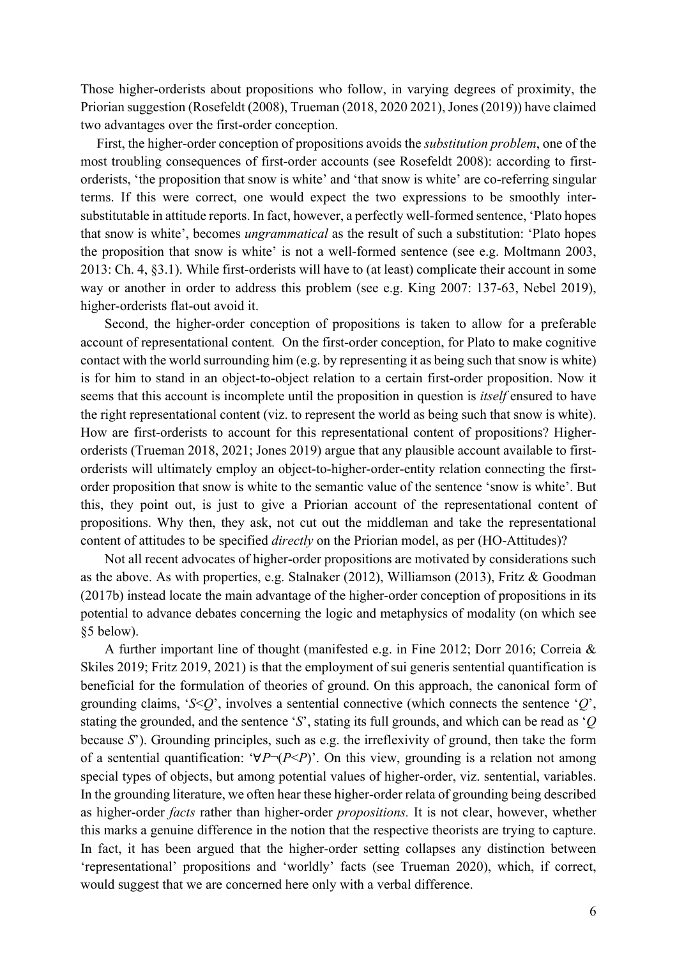Those higher-orderists about propositions who follow, in varying degrees of proximity, the Priorian suggestion (Rosefeldt (2008), Trueman (2018, 2020 2021), Jones (2019)) have claimed two advantages over the first-order conception.

First, the higher-order conception of propositions avoids the *substitution problem*, one of the most troubling consequences of first-order accounts (see Rosefeldt 2008): according to firstorderists, 'the proposition that snow is white' and 'that snow is white' are co-referring singular terms. If this were correct, one would expect the two expressions to be smoothly intersubstitutable in attitude reports. In fact, however, a perfectly well-formed sentence, 'Plato hopes that snow is white', becomes *ungrammatical* as the result of such a substitution: 'Plato hopes the proposition that snow is white' is not a well-formed sentence (see e.g. Moltmann 2003, 2013: Ch. 4, §3.1). While first-orderists will have to (at least) complicate their account in some way or another in order to address this problem (see e.g. King 2007: 137-63, Nebel 2019), higher-orderists flat-out avoid it.

Second, the higher-order conception of propositions is taken to allow for a preferable account of representational content*.* On the first-order conception, for Plato to make cognitive contact with the world surrounding him (e.g. by representing it as being such that snow is white) is for him to stand in an object-to-object relation to a certain first-order proposition. Now it seems that this account is incomplete until the proposition in question is *itself* ensured to have the right representational content (viz. to represent the world as being such that snow is white). How are first-orderists to account for this representational content of propositions? Higherorderists (Trueman 2018, 2021; Jones 2019) argue that any plausible account available to firstorderists will ultimately employ an object-to-higher-order-entity relation connecting the firstorder proposition that snow is white to the semantic value of the sentence 'snow is white'. But this, they point out, is just to give a Priorian account of the representational content of propositions. Why then, they ask, not cut out the middleman and take the representational content of attitudes to be specified *directly* on the Priorian model, as per (HO-Attitudes)?

Not all recent advocates of higher-order propositions are motivated by considerations such as the above. As with properties, e.g. Stalnaker (2012), Williamson (2013), Fritz & Goodman (2017b) instead locate the main advantage of the higher-order conception of propositions in its potential to advance debates concerning the logic and metaphysics of modality (on which see §5 below).

A further important line of thought (manifested e.g. in Fine 2012; Dorr 2016; Correia & Skiles 2019; Fritz 2019, 2021) is that the employment of sui generis sentential quantification is beneficial for the formulation of theories of ground. On this approach, the canonical form of grounding claims, '*S*<*Q*', involves a sentential connective (which connects the sentence '*Q*', stating the grounded, and the sentence '*S*', stating its full grounds, and which can be read as '*Q* because *S*'). Grounding principles, such as e.g. the irreflexivity of ground, then take the form of a sentential quantification: '∀*P*¬(*P*<*P*)'. On this view, grounding is a relation not among special types of objects, but among potential values of higher-order, viz. sentential, variables. In the grounding literature, we often hear these higher-order relata of grounding being described as higher-order *facts* rather than higher-order *propositions.* It is not clear, however, whether this marks a genuine difference in the notion that the respective theorists are trying to capture. In fact, it has been argued that the higher-order setting collapses any distinction between 'representational' propositions and 'worldly' facts (see Trueman 2020), which, if correct, would suggest that we are concerned here only with a verbal difference.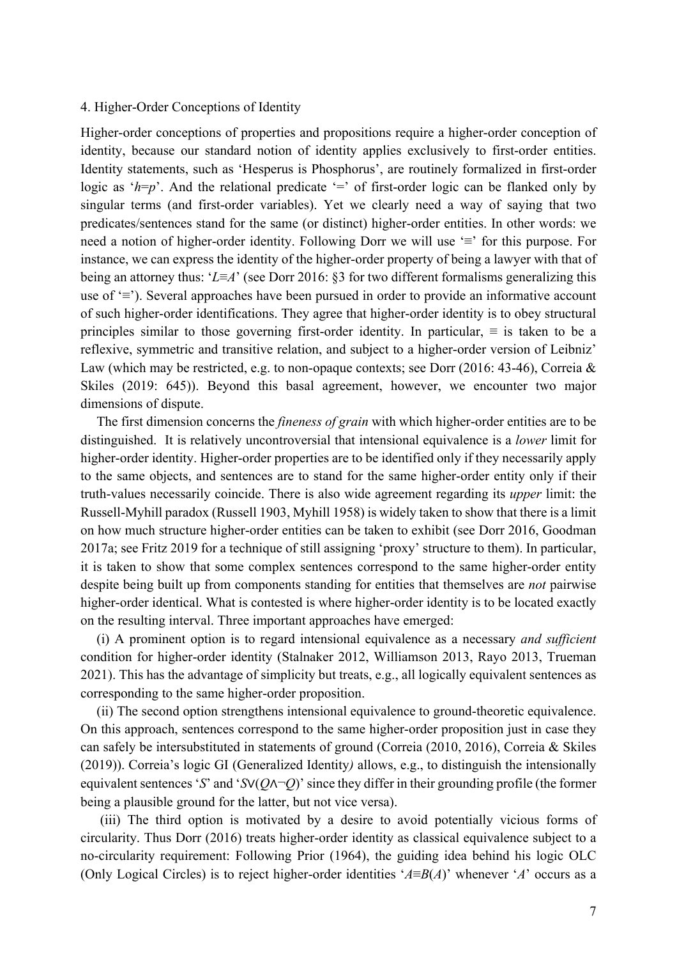#### 4. Higher-Order Conceptions of Identity

Higher-order conceptions of properties and propositions require a higher-order conception of identity, because our standard notion of identity applies exclusively to first-order entities. Identity statements, such as 'Hesperus is Phosphorus', are routinely formalized in first-order logic as '*h*=*p*'. And the relational predicate '=' of first-order logic can be flanked only by singular terms (and first-order variables). Yet we clearly need a way of saying that two predicates/sentences stand for the same (or distinct) higher-order entities. In other words: we need a notion of higher-order identity. Following Dorr we will use '≡' for this purpose. For instance, we can express the identity of the higher-order property of being a lawyer with that of being an attorney thus: '*L*≡*A*' (see Dorr 2016: §3 for two different formalisms generalizing this use of '≡'). Several approaches have been pursued in order to provide an informative account of such higher-order identifications. They agree that higher-order identity is to obey structural principles similar to those governing first-order identity. In particular,  $\equiv$  is taken to be a reflexive, symmetric and transitive relation, and subject to a higher-order version of Leibniz' Law (which may be restricted, e.g. to non-opaque contexts; see Dorr (2016: 43-46), Correia & Skiles (2019: 645)). Beyond this basal agreement, however, we encounter two major dimensions of dispute.

The first dimension concerns the *fineness of grain* with which higher-order entities are to be distinguished. It is relatively uncontroversial that intensional equivalence is a *lower* limit for higher-order identity. Higher-order properties are to be identified only if they necessarily apply to the same objects, and sentences are to stand for the same higher-order entity only if their truth-values necessarily coincide. There is also wide agreement regarding its *upper* limit: the Russell-Myhill paradox (Russell 1903, Myhill 1958) is widely taken to show that there is a limit on how much structure higher-order entities can be taken to exhibit (see Dorr 2016, Goodman 2017a; see Fritz 2019 for a technique of still assigning 'proxy' structure to them). In particular, it is taken to show that some complex sentences correspond to the same higher-order entity despite being built up from components standing for entities that themselves are *not* pairwise higher-order identical. What is contested is where higher-order identity is to be located exactly on the resulting interval. Three important approaches have emerged:

(i) A prominent option is to regard intensional equivalence as a necessary *and sufficient* condition for higher-order identity (Stalnaker 2012, Williamson 2013, Rayo 2013, Trueman 2021). This has the advantage of simplicity but treats, e.g., all logically equivalent sentences as corresponding to the same higher-order proposition.

(ii) The second option strengthens intensional equivalence to ground-theoretic equivalence. On this approach, sentences correspond to the same higher-order proposition just in case they can safely be intersubstituted in statements of ground (Correia (2010, 2016), Correia & Skiles (2019)). Correia's logic GI (Generalized Identity*)* allows, e.g., to distinguish the intensionally equivalent sentences '*S*' and '*S*∨(*Q*∧¬*Q*)'since they differ in their grounding profile (the former being a plausible ground for the latter, but not vice versa).

(iii) The third option is motivated by a desire to avoid potentially vicious forms of circularity. Thus Dorr (2016) treats higher-order identity as classical equivalence subject to a no-circularity requirement: Following Prior (1964), the guiding idea behind his logic OLC (Only Logical Circles) is to reject higher-order identities '*A*≡*B*(*A*)' whenever '*A*' occurs as a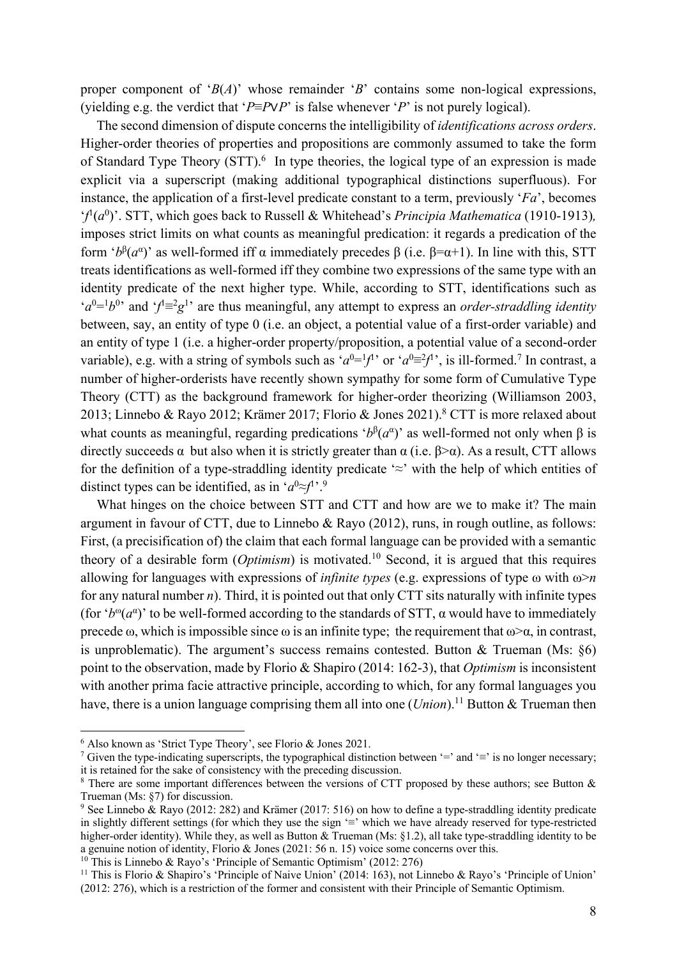proper component of '*B*(*A*)' whose remainder '*B*' contains some non-logical expressions, (yielding e.g. the verdict that '*P*≡*P*∨*P*' is false whenever '*P*' is not purely logical).

The second dimension of dispute concerns the intelligibility of *identifications across orders*. Higher-order theories of properties and propositions are commonly assumed to take the form of Standard Type Theory (STT).<sup>6</sup> In type theories, the logical type of an expression is made explicit via a superscript (making additional typographical distinctions superfluous). For instance, the application of a first-level predicate constant to a term, previously '*Fa*', becomes '*f* 1 (*a*<sup>0</sup> )'. STT, which goes back to Russell & Whitehead's *Principia Mathematica* (1910-1913)*,* imposes strict limits on what counts as meaningful predication: it regards a predication of the form ' $b^{\beta}(a^{\alpha})$ ' as well-formed iff α immediately precedes  $\beta$  (i.e.  $\beta = \alpha + 1$ ). In line with this, STT treats identifications as well-formed iff they combine two expressions of the same type with an identity predicate of the next higher type. While, according to STT, identifications such as  $(a^{0} = b^{0}$  and  $f^{1} = g^{1}$  are thus meaningful, any attempt to express an *order-straddling identity* between, say, an entity of type 0 (i.e. an object, a potential value of a first-order variable) and an entity of type 1 (i.e. a higher-order property/proposition, a potential value of a second-order variable), e.g. with a string of symbols such as ' $a^0 = 1/1$ ' or ' $a^0 = 2/1$ ', is ill-formed.<sup>7</sup> In contrast, a number of higher-orderists have recently shown sympathy for some form of Cumulative Type Theory (CTT) as the background framework for higher-order theorizing (Williamson 2003, 2013; Linnebo & Rayo 2012; Krämer 2017; Florio & Jones 2021).8 CTT is more relaxed about what counts as meaningful, regarding predications ' $b^{\beta}(a^{\alpha})$ ' as well-formed not only when  $\beta$  is directly succeeds  $\alpha$  but also when it is strictly greater than  $\alpha$  (i.e.  $\beta > \alpha$ ). As a result, CTT allows for the definition of a type-straddling identity predicate  $\approx$  with the help of which entities of distinct types can be identified, as in ' $a^0 \approx f^{1}$ .<sup>9</sup>

What hinges on the choice between STT and CTT and how are we to make it? The main argument in favour of CTT, due to Linnebo & Rayo (2012), runs, in rough outline, as follows: First, (a precisification of) the claim that each formal language can be provided with a semantic theory of a desirable form (*Optimism*) is motivated.10 Second, it is argued that this requires allowing for languages with expressions of *infinite types* (e.g. expressions of type ω with ω>*n* for any natural number *n*). Third, it is pointed out that only CTT sits naturally with infinite types (for ' $b^{\omega}(a^{\alpha})$ ' to be well-formed according to the standards of STT,  $\alpha$  would have to immediately precede  $\omega$ , which is impossible since  $\omega$  is an infinite type; the requirement that  $\omega > \alpha$ , in contrast, is unproblematic). The argument's success remains contested. Button  $&$  Trueman (Ms:  $§6$ ) point to the observation, made by Florio & Shapiro (2014: 162-3), that *Optimism* is inconsistent with another prima facie attractive principle, according to which, for any formal languages you have, there is a union language comprising them all into one (*Union*).<sup>11</sup> Button & Trueman then

<sup>10</sup> This is Linnebo & Rayo's 'Principle of Semantic Optimism' (2012: 276)

<sup>&</sup>lt;sup>6</sup> Also known as 'Strict Type Theory', see Florio & Jones 2021.<br><sup>7</sup> Given the type-indicating superscripts, the typographical distinction between '=' and '≡' is no longer necessary; it is retained for the sake of consistency with the preceding discussion.

<sup>&</sup>lt;sup>8</sup> There are some important differences between the versions of CTT proposed by these authors; see Button & Trueman (Ms: §7) for discussion.

<sup>9</sup> See Linnebo & Rayo (2012: 282) and Krämer (2017: 516) on how to define a type-straddling identity predicate in slightly different settings (for which they use the sign '≡' which we have already reserved for type-restricted higher-order identity). While they, as well as Button & Trueman (Ms: §1.2), all take type-straddling identity to be a genuine notion of identity, Florio & Jones (2021: 56 n. 15) voice some concerns over this.

<sup>&</sup>lt;sup>11</sup> This is Florio & Shapiro's 'Principle of Naive Union' (2014: 163), not Linnebo & Rayo's 'Principle of Union' (2012: 276), which is a restriction of the former and consistent with their Principle of Semantic Optimism.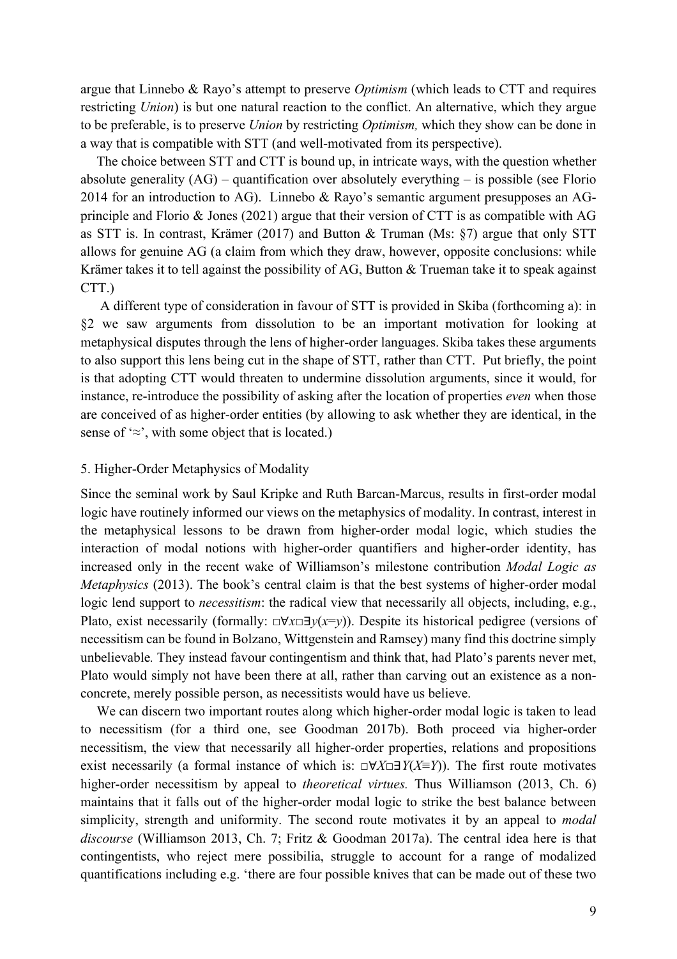argue that Linnebo & Rayo's attempt to preserve *Optimism* (which leads to CTT and requires restricting *Union*) is but one natural reaction to the conflict. An alternative, which they argue to be preferable, is to preserve *Union* by restricting *Optimism,* which they show can be done in a way that is compatible with STT (and well-motivated from its perspective).

The choice between STT and CTT is bound up, in intricate ways, with the question whether absolute generality (AG) – quantification over absolutely everything – is possible (see Florio 2014 for an introduction to AG). Linnebo & Rayo's semantic argument presupposes an AGprinciple and Florio & Jones (2021) argue that their version of CTT is as compatible with AG as STT is. In contrast, Krämer (2017) and Button & Truman (Ms: §7) argue that only STT allows for genuine AG (a claim from which they draw, however, opposite conclusions: while Krämer takes it to tell against the possibility of AG, Button & Trueman take it to speak against CTT.)

A different type of consideration in favour of STT is provided in Skiba (forthcoming a): in §2 we saw arguments from dissolution to be an important motivation for looking at metaphysical disputes through the lens of higher-order languages. Skiba takes these arguments to also support this lens being cut in the shape of STT, rather than CTT. Put briefly, the point is that adopting CTT would threaten to undermine dissolution arguments, since it would, for instance, re-introduce the possibility of asking after the location of properties *even* when those are conceived of as higher-order entities (by allowing to ask whether they are identical, in the sense of  $\approx$ , with some object that is located.)

#### 5. Higher-Order Metaphysics of Modality

Since the seminal work by Saul Kripke and Ruth Barcan-Marcus, results in first-order modal logic have routinely informed our views on the metaphysics of modality. In contrast, interest in the metaphysical lessons to be drawn from higher-order modal logic, which studies the interaction of modal notions with higher-order quantifiers and higher-order identity, has increased only in the recent wake of Williamson's milestone contribution *Modal Logic as Metaphysics* (2013). The book's central claim is that the best systems of higher-order modal logic lend support to *necessitism*: the radical view that necessarily all objects, including, e.g., Plato, exist necessarily (formally: □∀*x*□∃*y*(*x*=*y*)). Despite its historical pedigree (versions of necessitism can be found in Bolzano, Wittgenstein and Ramsey) many find this doctrine simply unbelievable*.* They instead favour contingentism and think that, had Plato's parents never met, Plato would simply not have been there at all, rather than carving out an existence as a nonconcrete, merely possible person, as necessitists would have us believe.

We can discern two important routes along which higher-order modal logic is taken to lead to necessitism (for a third one, see Goodman 2017b). Both proceed via higher-order necessitism, the view that necessarily all higher-order properties, relations and propositions exist necessarily (a formal instance of which is: □∀*X*□∃*Y*(*X*≡*Y*)). The first route motivates higher-order necessitism by appeal to *theoretical virtues.* Thus Williamson (2013, Ch. 6) maintains that it falls out of the higher-order modal logic to strike the best balance between simplicity, strength and uniformity. The second route motivates it by an appeal to *modal discourse* (Williamson 2013, Ch. 7; Fritz & Goodman 2017a). The central idea here is that contingentists, who reject mere possibilia, struggle to account for a range of modalized quantifications including e.g. 'there are four possible knives that can be made out of these two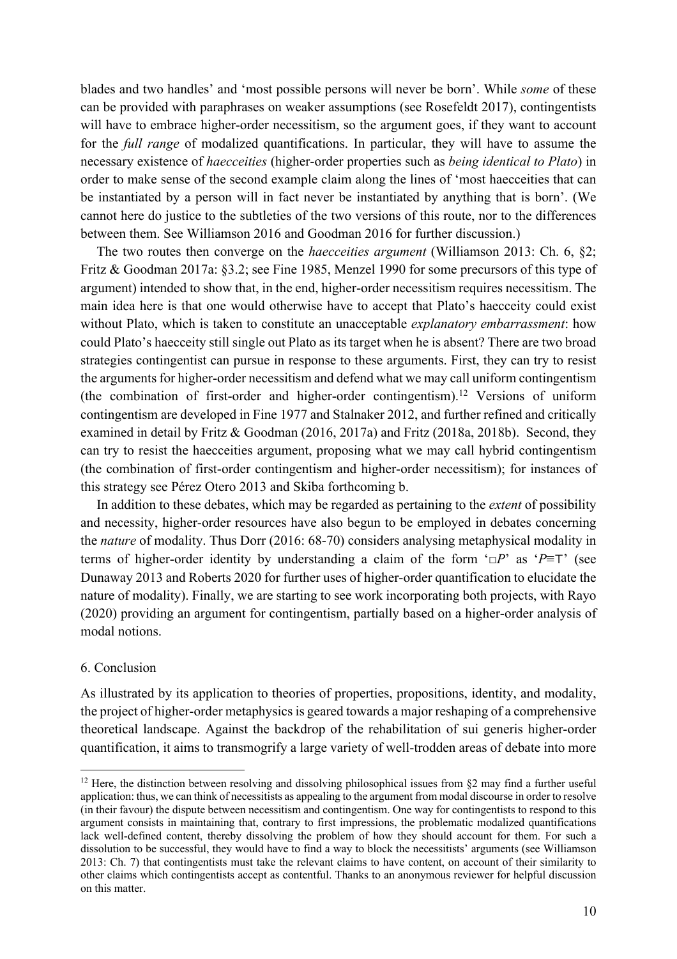blades and two handles' and 'most possible persons will never be born'. While *some* of these can be provided with paraphrases on weaker assumptions (see Rosefeldt 2017), contingentists will have to embrace higher-order necessitism, so the argument goes, if they want to account for the *full range* of modalized quantifications. In particular, they will have to assume the necessary existence of *haecceities* (higher-order properties such as *being identical to Plato*) in order to make sense of the second example claim along the lines of 'most haecceities that can be instantiated by a person will in fact never be instantiated by anything that is born'. (We cannot here do justice to the subtleties of the two versions of this route, nor to the differences between them. See Williamson 2016 and Goodman 2016 for further discussion.)

The two routes then converge on the *haecceities argument* (Williamson 2013: Ch. 6, §2; Fritz & Goodman 2017a: §3.2; see Fine 1985, Menzel 1990 for some precursors of this type of argument) intended to show that, in the end, higher-order necessitism requires necessitism. The main idea here is that one would otherwise have to accept that Plato's haecceity could exist without Plato, which is taken to constitute an unacceptable *explanatory embarrassment*: how could Plato's haecceity still single out Plato as its target when he is absent? There are two broad strategies contingentist can pursue in response to these arguments. First, they can try to resist the arguments for higher-order necessitism and defend what we may call uniform contingentism (the combination of first-order and higher-order contingentism).<sup>12</sup> Versions of uniform contingentism are developed in Fine 1977 and Stalnaker 2012, and further refined and critically examined in detail by Fritz & Goodman (2016, 2017a) and Fritz (2018a, 2018b). Second, they can try to resist the haecceities argument, proposing what we may call hybrid contingentism (the combination of first-order contingentism and higher-order necessitism); for instances of this strategy see Pérez Otero 2013 and Skiba forthcoming b.

In addition to these debates, which may be regarded as pertaining to the *extent* of possibility and necessity, higher-order resources have also begun to be employed in debates concerning the *nature* of modality. Thus Dorr (2016: 68-70) considers analysing metaphysical modality in terms of higher-order identity by understanding a claim of the form '□*P*' as '*P*≡⊤' (see Dunaway 2013 and Roberts 2020 for further uses of higher-order quantification to elucidate the nature of modality). Finally, we are starting to see work incorporating both projects, with Rayo (2020) providing an argument for contingentism, partially based on a higher-order analysis of modal notions.

### 6. Conclusion

As illustrated by its application to theories of properties, propositions, identity, and modality, the project of higher-order metaphysics is geared towards a major reshaping of a comprehensive theoretical landscape. Against the backdrop of the rehabilitation of sui generis higher-order quantification, it aims to transmogrify a large variety of well-trodden areas of debate into more

<sup>&</sup>lt;sup>12</sup> Here, the distinction between resolving and dissolving philosophical issues from  $\S2$  may find a further useful application: thus, we can think of necessitists as appealing to the argument from modal discourse in order to resolve (in their favour) the dispute between necessitism and contingentism. One way for contingentists to respond to this argument consists in maintaining that, contrary to first impressions, the problematic modalized quantifications lack well-defined content, thereby dissolving the problem of how they should account for them. For such a dissolution to be successful, they would have to find a way to block the necessitists' arguments (see Williamson 2013: Ch. 7) that contingentists must take the relevant claims to have content, on account of their similarity to other claims which contingentists accept as contentful. Thanks to an anonymous reviewer for helpful discussion on this matter.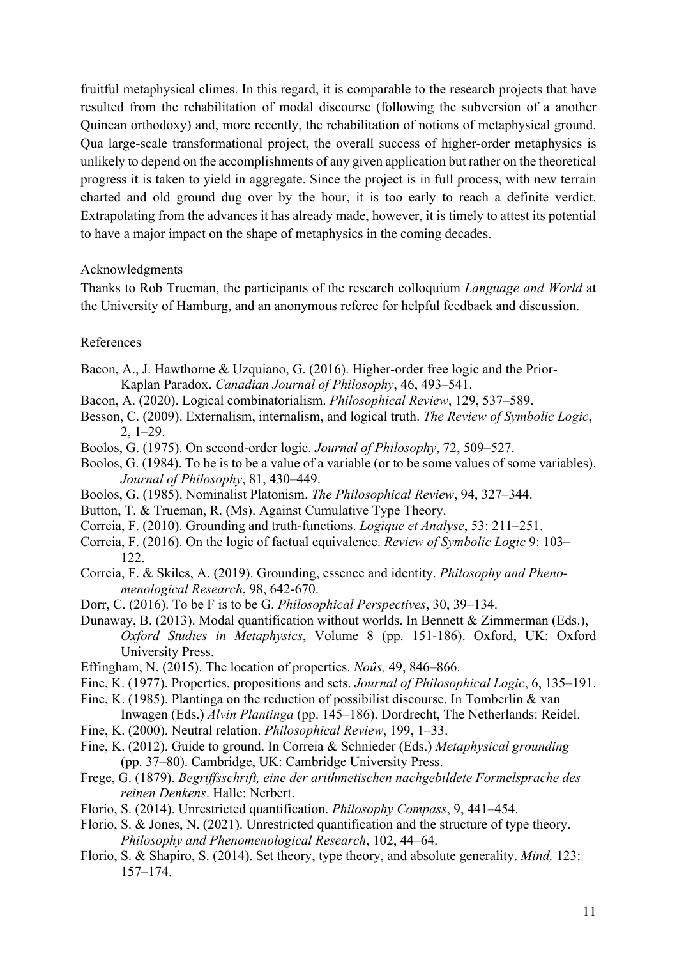fruitful metaphysical climes. In this regard, it is comparable to the research projects that have resulted from the rehabilitation of modal discourse (following the subversion of a another Quinean orthodoxy) and, more recently, the rehabilitation of notions of metaphysical ground. Qua large-scale transformational project, the overall success of higher-order metaphysics is unlikely to depend on the accomplishments of any given application but rather on the theoretical progress it is taken to yield in aggregate. Since the project is in full process, with new terrain charted and old ground dug over by the hour, it is too early to reach a definite verdict. Extrapolating from the advances it has already made, however, it is timely to attest its potential to have a major impact on the shape of metaphysics in the coming decades.

## Acknowledgments

Thanks to Rob Trueman, the participants of the research colloquium *Language and World* at the University of Hamburg, and an anonymous referee for helpful feedback and discussion.

### References

- Bacon, A., J. Hawthorne & Uzquiano, G. (2016). Higher-order free logic and the Prior-Kaplan Paradox. *Canadian Journal of Philosophy*, 46, 493–541.
- Bacon, A. (2020). Logical combinatorialism. *Philosophical Review*, 129, 537–589.
- Besson, C. (2009). Externalism, internalism, and logical truth. *The Review of Symbolic Logic*, 2, 1–29.
- Boolos, G. (1975). On second-order logic. *Journal of Philosophy*, 72, 509–527.
- Boolos, G. (1984). To be is to be a value of a variable (or to be some values of some variables). *Journal of Philosophy*, 81, 430–449.
- Boolos, G. (1985). Nominalist Platonism. *The Philosophical Review*, 94, 327–344.
- Button, T. & Trueman, R. (Ms). Against Cumulative Type Theory.
- Correia, F. (2010). Grounding and truth-functions. *Logique et Analyse*, 53: 211–251.
- Correia, F. (2016). On the logic of factual equivalence. *Review of Symbolic Logic* 9: 103– 122.
- Correia, F. & Skiles, A. (2019). Grounding, essence and identity. *Philosophy and Phenomenological Research*, 98, 642-670.
- Dorr, C. (2016). To be F is to be G. *Philosophical Perspectives*, 30, 39–134.
- Dunaway, B. (2013). Modal quantification without worlds. In Bennett & Zimmerman (Eds.), *Oxford Studies in Metaphysics*, Volume 8 (pp. 151-186). Oxford, UK: Oxford University Press.
- Effingham, N. (2015). The location of properties. *Noûs,* 49, 846–866.
- Fine, K. (1977). Properties, propositions and sets. *Journal of Philosophical Logic*, 6, 135–191.
- Fine, K. (1985). Plantinga on the reduction of possibilist discourse. In Tomberlin & van Inwagen (Eds.) *Alvin Plantinga* (pp. 145–186). Dordrecht, The Netherlands: Reidel.
- Fine, K. (2000). Neutral relation. *Philosophical Review*, 199, 1–33.
- Fine, K. (2012). Guide to ground. In Correia & Schnieder (Eds.) *Metaphysical grounding* (pp. 37–80). Cambridge, UK: Cambridge University Press.
- Frege, G. (1879). *Begriffsschrift, eine der arithmetischen nachgebildete Formelsprache des reinen Denkens*. Halle: Nerbert.
- Florio, S. (2014). Unrestricted quantification. *Philosophy Compass*, 9, 441–454.
- Florio, S. & Jones, N. (2021). Unrestricted quantification and the structure of type theory. *Philosophy and Phenomenological Research*, 102, 44–64.
- Florio, S. & Shapiro, S. (2014). Set theory, type theory, and absolute generality. *Mind,* 123: 157–174.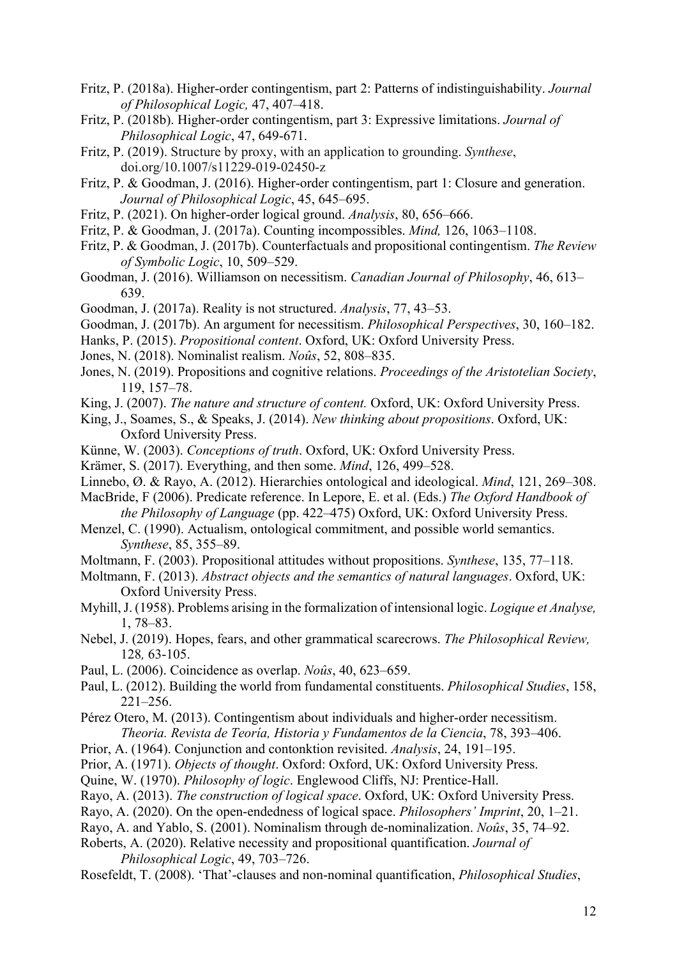- Fritz, P. (2018a). Higher-order contingentism, part 2: Patterns of indistinguishability. *Journal of Philosophical Logic,* 47, 407–418.
- Fritz, P. (2018b). Higher-order contingentism, part 3: Expressive limitations. *Journal of Philosophical Logic*, 47, 649-671.
- Fritz, P. (2019). Structure by proxy, with an application to grounding. *Synthese*, doi.org/10.1007/s11229-019-02450-z
- Fritz, P. & Goodman, J. (2016). Higher-order contingentism, part 1: Closure and generation. *Journal of Philosophical Logic*, 45, 645–695.
- Fritz, P. (2021). On higher-order logical ground. *Analysis*, 80, 656–666.
- Fritz, P. & Goodman, J. (2017a). Counting incompossibles. *Mind,* 126, 1063–1108.
- Fritz, P. & Goodman, J. (2017b). Counterfactuals and propositional contingentism. *The Review of Symbolic Logic*, 10, 509–529.
- Goodman, J. (2016). Williamson on necessitism. *Canadian Journal of Philosophy*, 46, 613– 639.
- Goodman, J. (2017a). Reality is not structured. *Analysis*, 77, 43–53.
- Goodman, J. (2017b). An argument for necessitism. *Philosophical Perspectives*, 30, 160–182.
- Hanks, P. (2015). *Propositional content*. Oxford, UK: Oxford University Press.
- Jones, N. (2018). Nominalist realism. *Noûs*, 52, 808–835.
- Jones, N. (2019). Propositions and cognitive relations. *Proceedings of the Aristotelian Society*, 119, 157–78.
- King, J. (2007). *The nature and structure of content.* Oxford, UK: Oxford University Press.
- King, J., Soames, S., & Speaks, J. (2014). *New thinking about propositions*. Oxford, UK: Oxford University Press.
- Künne, W. (2003). *Conceptions of truth*. Oxford, UK: Oxford University Press.
- Krämer, S. (2017). Everything, and then some. *Mind*, 126, 499–528.
- Linnebo, Ø. & Rayo, A. (2012). Hierarchies ontological and ideological. *Mind*, 121, 269–308.
- MacBride, F (2006). Predicate reference. In Lepore, E. et al. (Eds.) *The Oxford Handbook of the Philosophy of Language* (pp. 422–475) Oxford, UK: Oxford University Press.
- Menzel, C. (1990). Actualism, ontological commitment, and possible world semantics. *Synthese*, 85, 355–89.
- Moltmann, F. (2003). Propositional attitudes without propositions. *Synthese*, 135, 77–118.
- Moltmann, F. (2013). *Abstract objects and the semantics of natural languages*. Oxford, UK: Oxford University Press.
- Myhill, J. (1958). Problems arising in the formalization of intensional logic. *Logique et Analyse,* 1, 78–83.
- Nebel, J. (2019). Hopes, fears, and other grammatical scarecrows. *The Philosophical Review,*  128*,* 63-105.
- Paul, L. (2006). Coincidence as overlap. *Noûs*, 40, 623–659.
- Paul, L. (2012). Building the world from fundamental constituents. *Philosophical Studies*, 158, 221–256.
- Pérez Otero, M. (2013). Contingentism about individuals and higher-order necessitism. *Theoria. Revista de Teoría, Historia y Fundamentos de la Ciencia*, 78, 393–406.
- Prior, A. (1964). Conjunction and contonktion revisited. *Analysis*, 24, 191–195.
- Prior, A. (1971). *Objects of thought*. Oxford: Oxford, UK: Oxford University Press.
- Quine, W. (1970). *Philosophy of logic*. Englewood Cliffs, NJ: Prentice-Hall.
- Rayo, A. (2013). *The construction of logical space*. Oxford, UK: Oxford University Press.
- Rayo, A. (2020). On the open-endedness of logical space. *Philosophers' Imprint*, 20, 1–21.
- Rayo, A. and Yablo, S. (2001). Nominalism through de-nominalization. *Noûs*, 35, 74–92.
- Roberts, A. (2020). Relative necessity and propositional quantification. *Journal of Philosophical Logic*, 49, 703–726.
- Rosefeldt, T. (2008). 'That'-clauses and non-nominal quantification, *Philosophical Studies*,